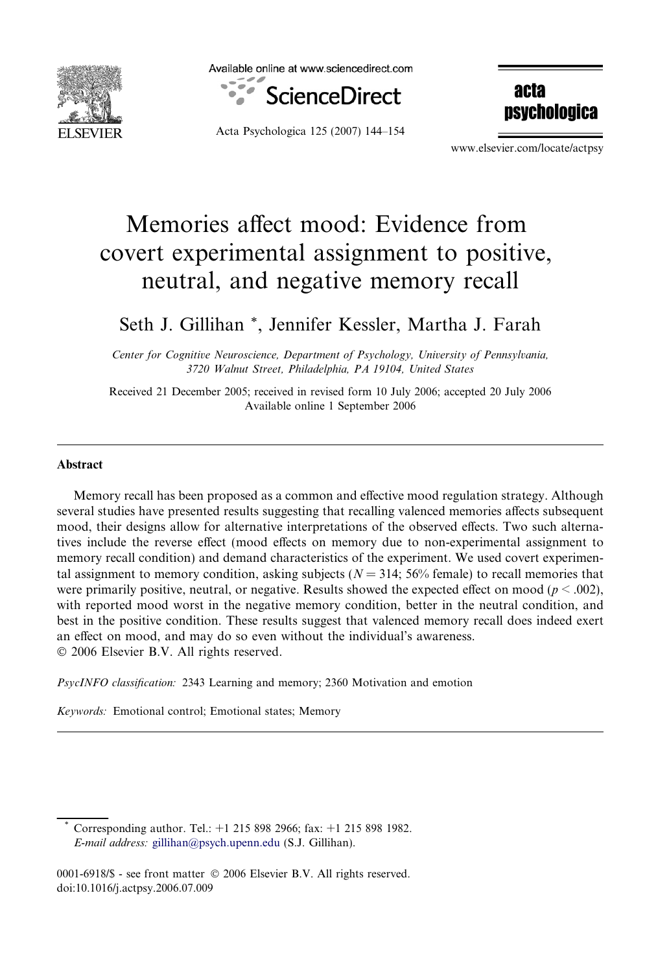

Available online at www.sciencedirect.com



Acta Psychologica 125 (2007) 144–154

**acta nsychologica** 

www.elsevier.com/locate/actpsy

# Memories affect mood: Evidence from covert experimental assignment to positive, neutral, and negative memory recall

# Seth J. Gillihan \*, Jennifer Kessler, Martha J. Farah

Center for Cognitive Neuroscience, Department of Psychology, University of Pennsylvania, 3720 Walnut Street, Philadelphia, PA 19104, United States

Received 21 December 2005; received in revised form 10 July 2006; accepted 20 July 2006 Available online 1 September 2006

#### Abstract

Memory recall has been proposed as a common and effective mood regulation strategy. Although several studies have presented results suggesting that recalling valenced memories affects subsequent mood, their designs allow for alternative interpretations of the observed effects. Two such alternatives include the reverse effect (mood effects on memory due to non-experimental assignment to memory recall condition) and demand characteristics of the experiment. We used covert experimental assignment to memory condition, asking subjects ( $N = 314$ ; 56% female) to recall memories that were primarily positive, neutral, or negative. Results showed the expected effect on mood ( $p < .002$ ), with reported mood worst in the negative memory condition, better in the neutral condition, and best in the positive condition. These results suggest that valenced memory recall does indeed exert an effect on mood, and may do so even without the individual's awareness. © 2006 Elsevier B.V. All rights reserved.

PsycINFO classification: 2343 Learning and memory; 2360 Motivation and emotion

Keywords: Emotional control; Emotional states; Memory

Corresponding author. Tel.: +1 215 898 2966; fax: +1 215 898 1982. E-mail address: [gillihan@psych.upenn.edu](mailto:gillihan@psych.upenn.edu) (S.J. Gillihan).

<sup>0001-6918/\$ -</sup> see front matter © 2006 Elsevier B.V. All rights reserved. doi:10.1016/j.actpsy.2006.07.009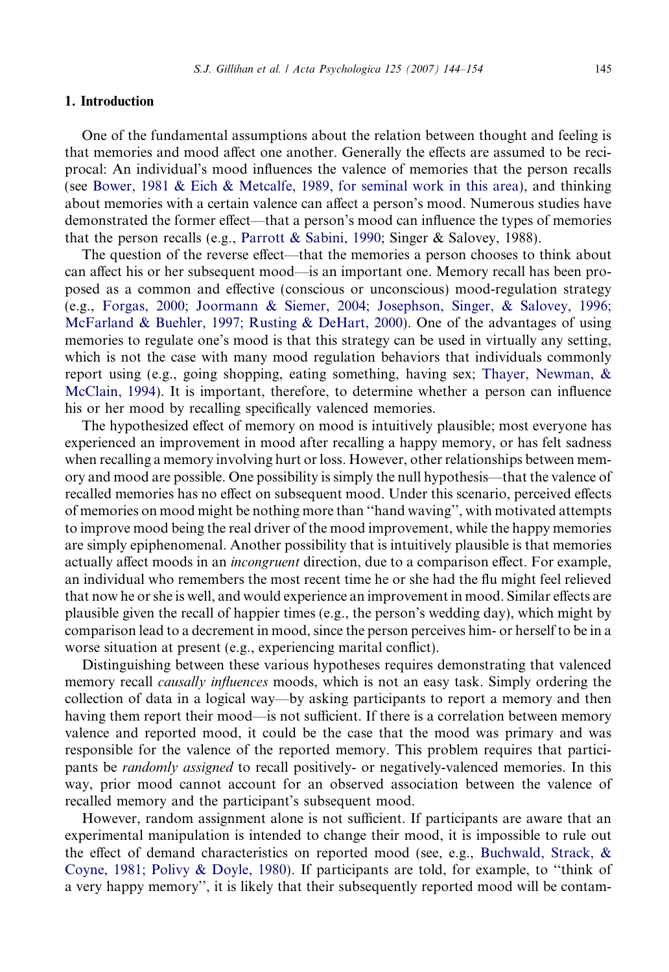#### 1. Introduction

One of the fundamental assumptions about the relation between thought and feeling is that memories and mood affect one another. Generally the effects are assumed to be reciprocal: An individual's mood influences the valence of memories that the person recalls (see [Bower, 1981 & Eich & Metcalfe, 1989, for seminal work in this area](#page-9-0)), and thinking about memories with a certain valence can affect a person's mood. Numerous studies have demonstrated the former effect—that a person's mood can influence the types of memories that the person recalls (e.g., [Parrott & Sabini, 1990;](#page-10-0) Singer & Salovey, 1988).

The question of the reverse effect—that the memories a person chooses to think about can affect his or her subsequent mood—is an important one. Memory recall has been proposed as a common and effective (conscious or unconscious) mood-regulation strategy (e.g., [Forgas, 2000; Joormann & Siemer, 2004; Josephson, Singer, & Salovey, 1996;](#page-9-0) [McFarland & Buehler, 1997; Rusting & DeHart, 2000\)](#page-9-0). One of the advantages of using memories to regulate one's mood is that this strategy can be used in virtually any setting, which is not the case with many mood regulation behaviors that individuals commonly report using (e.g., going shopping, eating something, having sex; [Thayer, Newman, &](#page-10-0) [McClain, 1994](#page-10-0)). It is important, therefore, to determine whether a person can influence his or her mood by recalling specifically valenced memories.

The hypothesized effect of memory on mood is intuitively plausible; most everyone has experienced an improvement in mood after recalling a happy memory, or has felt sadness when recalling a memory involving hurt or loss. However, other relationships between memory and mood are possible. One possibility is simply the null hypothesis—that the valence of recalled memories has no effect on subsequent mood. Under this scenario, perceived effects of memories on mood might be nothing more than ''hand waving'', with motivated attempts to improve mood being the real driver of the mood improvement, while the happy memories are simply epiphenomenal. Another possibility that is intuitively plausible is that memories actually affect moods in an incongruent direction, due to a comparison effect. For example, an individual who remembers the most recent time he or she had the flu might feel relieved that now he or she is well, and would experience an improvement in mood. Similar effects are plausible given the recall of happier times (e.g., the person's wedding day), which might by comparison lead to a decrement in mood, since the person perceives him- or herself to be in a worse situation at present (e.g., experiencing marital conflict).

Distinguishing between these various hypotheses requires demonstrating that valenced memory recall *causally influences* moods, which is not an easy task. Simply ordering the collection of data in a logical way—by asking participants to report a memory and then having them report their mood—is not sufficient. If there is a correlation between memory valence and reported mood, it could be the case that the mood was primary and was responsible for the valence of the reported memory. This problem requires that participants be randomly assigned to recall positively- or negatively-valenced memories. In this way, prior mood cannot account for an observed association between the valence of recalled memory and the participant's subsequent mood.

However, random assignment alone is not sufficient. If participants are aware that an experimental manipulation is intended to change their mood, it is impossible to rule out the effect of demand characteristics on reported mood (see, e.g., [Buchwald, Strack, &](#page-9-0) [Coyne, 1981; Polivy & Doyle, 1980](#page-9-0)). If participants are told, for example, to ''think of a very happy memory'', it is likely that their subsequently reported mood will be contam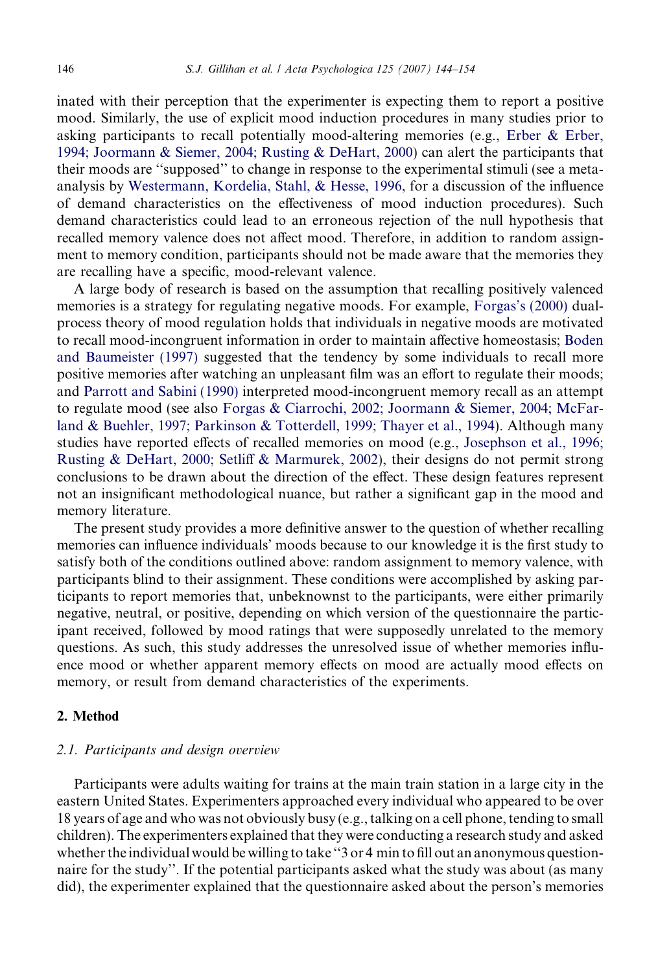inated with their perception that the experimenter is expecting them to report a positive mood. Similarly, the use of explicit mood induction procedures in many studies prior to asking participants to recall potentially mood-altering memories (e.g., [Erber & Erber,](#page-9-0) [1994; Joormann & Siemer, 2004; Rusting & DeHart, 2000\)](#page-9-0) can alert the participants that their moods are ''supposed'' to change in response to the experimental stimuli (see a metaanalysis by [Westermann, Kordelia, Stahl, & Hesse, 1996](#page-10-0), for a discussion of the influence of demand characteristics on the effectiveness of mood induction procedures). Such demand characteristics could lead to an erroneous rejection of the null hypothesis that recalled memory valence does not affect mood. Therefore, in addition to random assignment to memory condition, participants should not be made aware that the memories they are recalling have a specific, mood-relevant valence.

A large body of research is based on the assumption that recalling positively valenced memories is a strategy for regulating negative moods. For example, [Forgas's \(2000\)](#page-9-0) dualprocess theory of mood regulation holds that individuals in negative moods are motivated to recall mood-incongruent information in order to maintain affective homeostasis; [Boden](#page-9-0) [and Baumeister \(1997\)](#page-9-0) suggested that the tendency by some individuals to recall more positive memories after watching an unpleasant film was an effort to regulate their moods; and [Parrott and Sabini \(1990\)](#page-10-0) interpreted mood-incongruent memory recall as an attempt to regulate mood (see also [Forgas & Ciarrochi, 2002; Joormann & Siemer, 2004; McFar](#page-9-0)[land & Buehler, 1997; Parkinson & Totterdell, 1999; Thayer et al., 1994](#page-9-0)). Although many studies have reported effects of recalled memories on mood (e.g., [Josephson et al., 1996;](#page-9-0) [Rusting & DeHart, 2000; Setliff & Marmurek, 2002](#page-9-0)), their designs do not permit strong conclusions to be drawn about the direction of the effect. These design features represent not an insignificant methodological nuance, but rather a significant gap in the mood and memory literature.

The present study provides a more definitive answer to the question of whether recalling memories can influence individuals' moods because to our knowledge it is the first study to satisfy both of the conditions outlined above: random assignment to memory valence, with participants blind to their assignment. These conditions were accomplished by asking participants to report memories that, unbeknownst to the participants, were either primarily negative, neutral, or positive, depending on which version of the questionnaire the participant received, followed by mood ratings that were supposedly unrelated to the memory questions. As such, this study addresses the unresolved issue of whether memories influence mood or whether apparent memory effects on mood are actually mood effects on memory, or result from demand characteristics of the experiments.

#### 2. Method

#### 2.1. Participants and design overview

Participants were adults waiting for trains at the main train station in a large city in the eastern United States. Experimenters approached every individual who appeared to be over 18 years of age and who was not obviously busy (e.g., talking on a cell phone, tending to small children). The experimenters explained that they were conducting a research study and asked whether the individual would be willing to take ''3 or 4 min to fill out an anonymous questionnaire for the study''. If the potential participants asked what the study was about (as many did), the experimenter explained that the questionnaire asked about the person's memories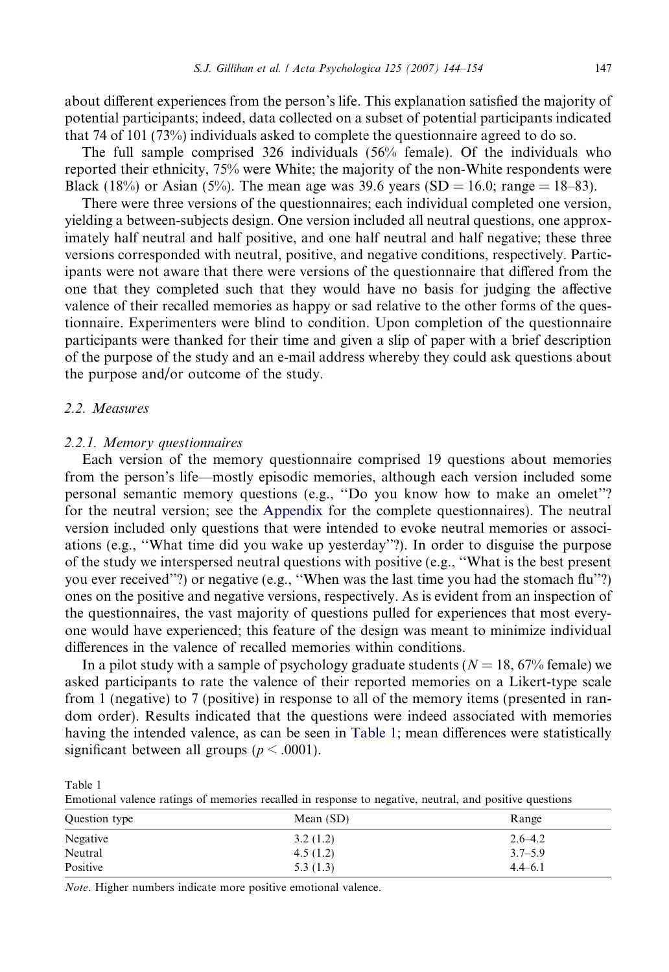about different experiences from the person's life. This explanation satisfied the majority of potential participants; indeed, data collected on a subset of potential participants indicated that 74 of 101 (73%) individuals asked to complete the questionnaire agreed to do so.

The full sample comprised 326 individuals (56% female). Of the individuals who reported their ethnicity, 75% were White; the majority of the non-White respondents were Black (18%) or Asian (5%). The mean age was 39.6 years (SD = 16.0; range = 18–83).

There were three versions of the questionnaires; each individual completed one version, yielding a between-subjects design. One version included all neutral questions, one approximately half neutral and half positive, and one half neutral and half negative; these three versions corresponded with neutral, positive, and negative conditions, respectively. Participants were not aware that there were versions of the questionnaire that differed from the one that they completed such that they would have no basis for judging the affective valence of their recalled memories as happy or sad relative to the other forms of the questionnaire. Experimenters were blind to condition. Upon completion of the questionnaire participants were thanked for their time and given a slip of paper with a brief description of the purpose of the study and an e-mail address whereby they could ask questions about the purpose and/or outcome of the study.

#### 2.2. Measures

#### 2.2.1. Memory questionnaires

Each version of the memory questionnaire comprised 19 questions about memories from the person's life—mostly episodic memories, although each version included some personal semantic memory questions (e.g., ''Do you know how to make an omelet''? for the neutral version; see the Appendix for the complete questionnaires). The neutral version included only questions that were intended to evoke neutral memories or associations (e.g., ''What time did you wake up yesterday''?). In order to disguise the purpose of the study we interspersed neutral questions with positive (e.g., ''What is the best present you ever received''?) or negative (e.g., ''When was the last time you had the stomach flu''?) ones on the positive and negative versions, respectively. As is evident from an inspection of the questionnaires, the vast majority of questions pulled for experiences that most everyone would have experienced; this feature of the design was meant to minimize individual differences in the valence of recalled memories within conditions.

In a pilot study with a sample of psychology graduate students ( $N = 18,67\%$  female) we asked participants to rate the valence of their reported memories on a Likert-type scale from 1 (negative) to 7 (positive) in response to all of the memory items (presented in random order). Results indicated that the questions were indeed associated with memories having the intended valence, as can be seen in Table 1; mean differences were statistically significant between all groups ( $p < .0001$ ).

Table 1

Emotional valence ratings of memories recalled in response to negative, neutral, and positive questions

| Question type | Mean $(SD)$ | Range       |
|---------------|-------------|-------------|
| Negative      | 3.2(1.2)    | $2.6 - 4.2$ |
| Neutral       | 4.5(1.2)    | $3.7 - 5.9$ |
| Positive      | 5.3(1.3)    | $4.4 - 6.1$ |

Note. Higher numbers indicate more positive emotional valence.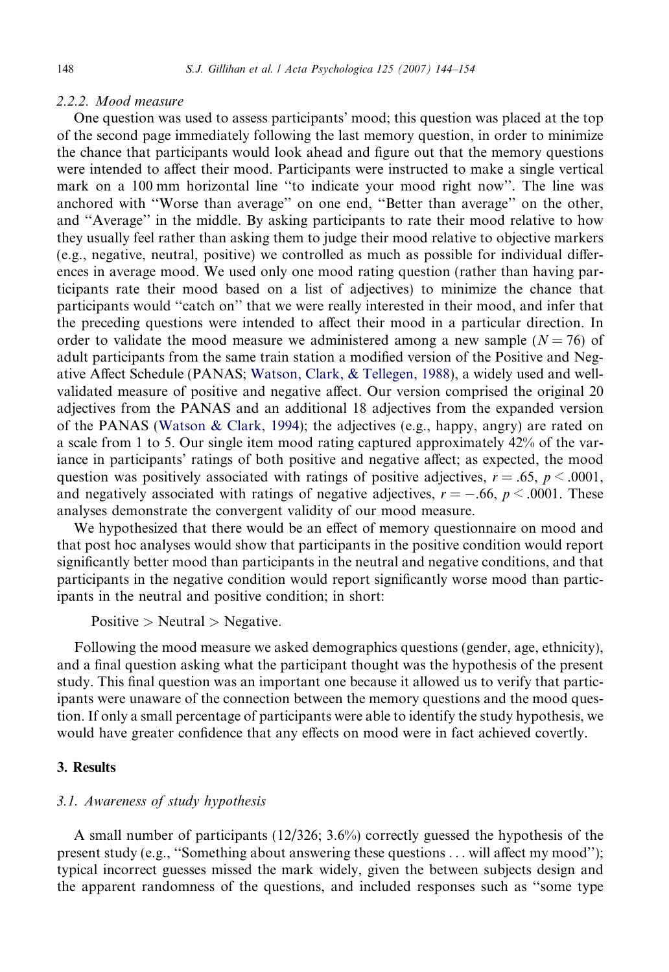#### 2.2.2. Mood measure

One question was used to assess participants' mood; this question was placed at the top of the second page immediately following the last memory question, in order to minimize the chance that participants would look ahead and figure out that the memory questions were intended to affect their mood. Participants were instructed to make a single vertical mark on a 100 mm horizontal line ''to indicate your mood right now''. The line was anchored with ''Worse than average'' on one end, ''Better than average'' on the other, and ''Average'' in the middle. By asking participants to rate their mood relative to how they usually feel rather than asking them to judge their mood relative to objective markers (e.g., negative, neutral, positive) we controlled as much as possible for individual differences in average mood. We used only one mood rating question (rather than having participants rate their mood based on a list of adjectives) to minimize the chance that participants would ''catch on'' that we were really interested in their mood, and infer that the preceding questions were intended to affect their mood in a particular direction. In order to validate the mood measure we administered among a new sample  $(N = 76)$  of adult participants from the same train station a modified version of the Positive and Negative Affect Schedule (PANAS; [Watson, Clark, & Tellegen, 1988\)](#page-10-0), a widely used and wellvalidated measure of positive and negative affect. Our version comprised the original 20 adjectives from the PANAS and an additional 18 adjectives from the expanded version of the PANAS ([Watson & Clark, 1994](#page-10-0)); the adjectives (e.g., happy, angry) are rated on a scale from 1 to 5. Our single item mood rating captured approximately 42% of the variance in participants' ratings of both positive and negative affect; as expected, the mood question was positively associated with ratings of positive adjectives,  $r = .65$ ,  $p < .0001$ , and negatively associated with ratings of negative adjectives,  $r = -.66$ ,  $p < .0001$ . These analyses demonstrate the convergent validity of our mood measure.

We hypothesized that there would be an effect of memory questionnaire on mood and that post hoc analyses would show that participants in the positive condition would report significantly better mood than participants in the neutral and negative conditions, and that participants in the negative condition would report significantly worse mood than participants in the neutral and positive condition; in short:

Positive  $>$  Neutral  $>$  Negative.

Following the mood measure we asked demographics questions (gender, age, ethnicity), and a final question asking what the participant thought was the hypothesis of the present study. This final question was an important one because it allowed us to verify that participants were unaware of the connection between the memory questions and the mood question. If only a small percentage of participants were able to identify the study hypothesis, we would have greater confidence that any effects on mood were in fact achieved covertly.

## 3. Results

#### 3.1. Awareness of study hypothesis

A small number of participants (12/326; 3.6%) correctly guessed the hypothesis of the present study (e.g., "Something about answering these questions ... will affect my mood"); typical incorrect guesses missed the mark widely, given the between subjects design and the apparent randomness of the questions, and included responses such as ''some type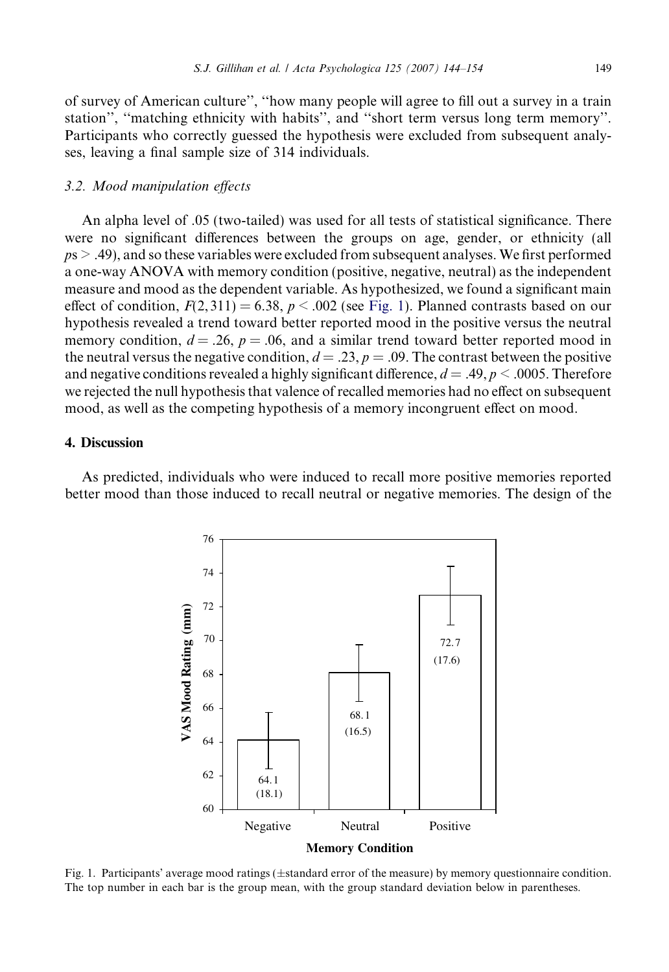of survey of American culture'', ''how many people will agree to fill out a survey in a train station'', ''matching ethnicity with habits'', and ''short term versus long term memory''. Participants who correctly guessed the hypothesis were excluded from subsequent analyses, leaving a final sample size of 314 individuals.

#### 3.2. Mood manipulation effects

An alpha level of .05 (two-tailed) was used for all tests of statistical significance. There were no significant differences between the groups on age, gender, or ethnicity (all  $p_s > .49$ ), and so these variables were excluded from subsequent analyses. We first performed a one-way ANOVA with memory condition (positive, negative, neutral) as the independent measure and mood as the dependent variable. As hypothesized, we found a significant main effect of condition,  $F(2, 311) = 6.38$ ,  $p < .002$  (see Fig. 1). Planned contrasts based on our hypothesis revealed a trend toward better reported mood in the positive versus the neutral memory condition,  $d = 0.26$ ,  $p = 0.06$ , and a similar trend toward better reported mood in the neutral versus the negative condition,  $d = .23$ ,  $p = .09$ . The contrast between the positive and negative conditions revealed a highly significant difference,  $d = .49$ ,  $p < .0005$ . Therefore we rejected the null hypothesis that valence of recalled memories had no effect on subsequent mood, as well as the competing hypothesis of a memory incongruent effect on mood.

# 4. Discussion

As predicted, individuals who were induced to recall more positive memories reported better mood than those induced to recall neutral or negative memories. The design of the



Fig. 1. Participants' average mood ratings (±standard error of the measure) by memory questionnaire condition. The top number in each bar is the group mean, with the group standard deviation below in parentheses.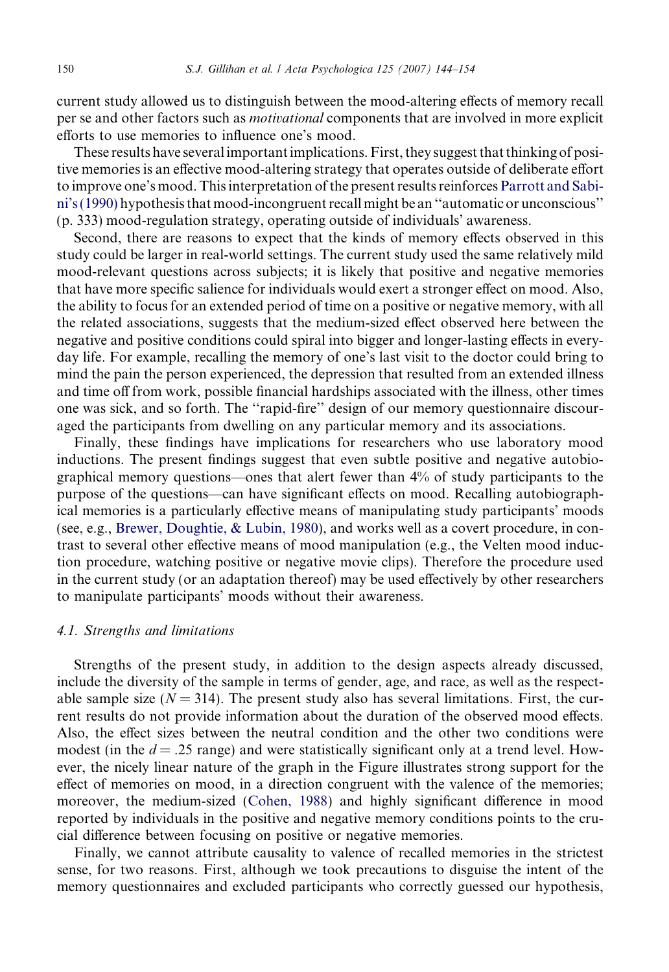current study allowed us to distinguish between the mood-altering effects of memory recall per se and other factors such as motivational components that are involved in more explicit efforts to use memories to influence one's mood.

These results have several important implications. First, they suggest that thinking of positive memories is an effective mood-altering strategy that operates outside of deliberate effort to improve one's mood. This interpretation of the present results reinforces [Parrott and Sabi](#page-10-0)[ni's \(1990\)](#page-10-0) hypothesis that mood-incongruent recall might be an ''automatic or unconscious'' (p. 333) mood-regulation strategy, operating outside of individuals' awareness.

Second, there are reasons to expect that the kinds of memory effects observed in this study could be larger in real-world settings. The current study used the same relatively mild mood-relevant questions across subjects; it is likely that positive and negative memories that have more specific salience for individuals would exert a stronger effect on mood. Also, the ability to focus for an extended period of time on a positive or negative memory, with all the related associations, suggests that the medium-sized effect observed here between the negative and positive conditions could spiral into bigger and longer-lasting effects in everyday life. For example, recalling the memory of one's last visit to the doctor could bring to mind the pain the person experienced, the depression that resulted from an extended illness and time off from work, possible financial hardships associated with the illness, other times one was sick, and so forth. The ''rapid-fire'' design of our memory questionnaire discouraged the participants from dwelling on any particular memory and its associations.

Finally, these findings have implications for researchers who use laboratory mood inductions. The present findings suggest that even subtle positive and negative autobiographical memory questions—ones that alert fewer than 4% of study participants to the purpose of the questions—can have significant effects on mood. Recalling autobiographical memories is a particularly effective means of manipulating study participants' moods (see, e.g., [Brewer, Doughtie, & Lubin, 1980\)](#page-9-0), and works well as a covert procedure, in contrast to several other effective means of mood manipulation (e.g., the Velten mood induction procedure, watching positive or negative movie clips). Therefore the procedure used in the current study (or an adaptation thereof) may be used effectively by other researchers to manipulate participants' moods without their awareness.

#### 4.1. Strengths and limitations

Strengths of the present study, in addition to the design aspects already discussed, include the diversity of the sample in terms of gender, age, and race, as well as the respectable sample size ( $N = 314$ ). The present study also has several limitations. First, the current results do not provide information about the duration of the observed mood effects. Also, the effect sizes between the neutral condition and the other two conditions were modest (in the  $d = .25$  range) and were statistically significant only at a trend level. However, the nicely linear nature of the graph in the Figure illustrates strong support for the effect of memories on mood, in a direction congruent with the valence of the memories; moreover, the medium-sized [\(Cohen, 1988](#page-9-0)) and highly significant difference in mood reported by individuals in the positive and negative memory conditions points to the crucial difference between focusing on positive or negative memories.

Finally, we cannot attribute causality to valence of recalled memories in the strictest sense, for two reasons. First, although we took precautions to disguise the intent of the memory questionnaires and excluded participants who correctly guessed our hypothesis,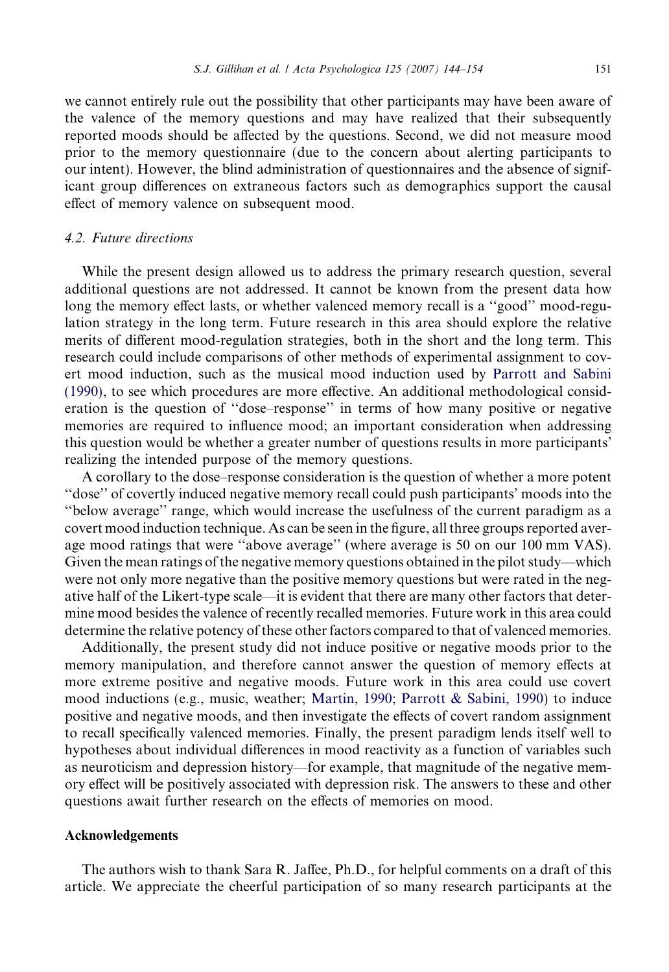we cannot entirely rule out the possibility that other participants may have been aware of the valence of the memory questions and may have realized that their subsequently reported moods should be affected by the questions. Second, we did not measure mood prior to the memory questionnaire (due to the concern about alerting participants to our intent). However, the blind administration of questionnaires and the absence of significant group differences on extraneous factors such as demographics support the causal effect of memory valence on subsequent mood.

#### 4.2. Future directions

While the present design allowed us to address the primary research question, several additional questions are not addressed. It cannot be known from the present data how long the memory effect lasts, or whether valenced memory recall is a ''good'' mood-regulation strategy in the long term. Future research in this area should explore the relative merits of different mood-regulation strategies, both in the short and the long term. This research could include comparisons of other methods of experimental assignment to covert mood induction, such as the musical mood induction used by [Parrott and Sabini](#page-10-0) [\(1990\)](#page-10-0), to see which procedures are more effective. An additional methodological consideration is the question of ''dose–response'' in terms of how many positive or negative memories are required to influence mood; an important consideration when addressing this question would be whether a greater number of questions results in more participants' realizing the intended purpose of the memory questions.

A corollary to the dose–response consideration is the question of whether a more potent ''dose'' of covertly induced negative memory recall could push participants' moods into the ''below average'' range, which would increase the usefulness of the current paradigm as a covert mood induction technique. As can be seen in the figure, all three groups reported average mood ratings that were ''above average'' (where average is 50 on our 100 mm VAS). Given the mean ratings of the negative memory questions obtained in the pilot study—which were not only more negative than the positive memory questions but were rated in the negative half of the Likert-type scale—it is evident that there are many other factors that determine mood besides the valence of recently recalled memories. Future work in this area could determine the relative potency of these other factors compared to that of valenced memories.

Additionally, the present study did not induce positive or negative moods prior to the memory manipulation, and therefore cannot answer the question of memory effects at more extreme positive and negative moods. Future work in this area could use covert mood inductions (e.g., music, weather; [Martin, 1990; Parrott & Sabini, 1990](#page-10-0)) to induce positive and negative moods, and then investigate the effects of covert random assignment to recall specifically valenced memories. Finally, the present paradigm lends itself well to hypotheses about individual differences in mood reactivity as a function of variables such as neuroticism and depression history—for example, that magnitude of the negative memory effect will be positively associated with depression risk. The answers to these and other questions await further research on the effects of memories on mood.

#### Acknowledgements

The authors wish to thank Sara R. Jaffee, Ph.D., for helpful comments on a draft of this article. We appreciate the cheerful participation of so many research participants at the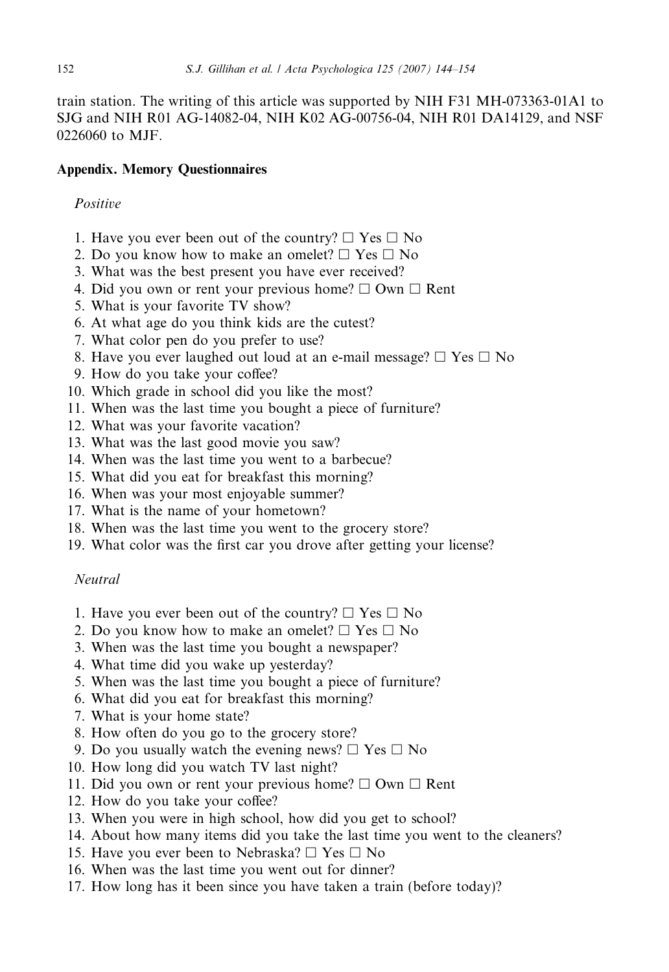train station. The writing of this article was supported by NIH F31 MH-073363-01A1 to SJG and NIH R01 AG-14082-04, NIH K02 AG-00756-04, NIH R01 DA14129, and NSF 0226060 to MJF.

## Appendix. Memory Questionnaires

#### **Positive**

- 1. Have you ever been out of the country?  $\Box$  Yes  $\Box$  No
- 2. Do you know how to make an omelet?  $\Box$  Yes  $\Box$  No
- 3. What was the best present you have ever received?
- 4. Did you own or rent your previous home?  $\Box$  Own  $\Box$  Rent
- 5. What is your favorite TV show?
- 6. At what age do you think kids are the cutest?
- 7. What color pen do you prefer to use?
- 8. Have you ever laughed out loud at an e-mail message?  $\Box$  Yes  $\Box$  No
- 9. How do you take your coffee?
- 10. Which grade in school did you like the most?
- 11. When was the last time you bought a piece of furniture?
- 12. What was your favorite vacation?
- 13. What was the last good movie you saw?
- 14. When was the last time you went to a barbecue?
- 15. What did you eat for breakfast this morning?
- 16. When was your most enjoyable summer?
- 17. What is the name of your hometown?
- 18. When was the last time you went to the grocery store?
- 19. What color was the first car you drove after getting your license?

#### Neutral

- 1. Have you ever been out of the country?  $\Box$  Yes  $\Box$  No
- 2. Do you know how to make an omelet?  $\Box$  Yes  $\Box$  No
- 3. When was the last time you bought a newspaper?
- 4. What time did you wake up yesterday?
- 5. When was the last time you bought a piece of furniture?
- 6. What did you eat for breakfast this morning?
- 7. What is your home state?
- 8. How often do you go to the grocery store?
- 9. Do you usually watch the evening news?  $\Box$  Yes  $\Box$  No
- 10. How long did you watch TV last night?
- 11. Did you own or rent your previous home?  $\Box$  Own  $\Box$  Rent
- 12. How do you take your coffee?
- 13. When you were in high school, how did you get to school?
- 14. About how many items did you take the last time you went to the cleaners?
- 15. Have you ever been to Nebraska?  $\Box$  Yes  $\Box$  No
- 16. When was the last time you went out for dinner?
- 17. How long has it been since you have taken a train (before today)?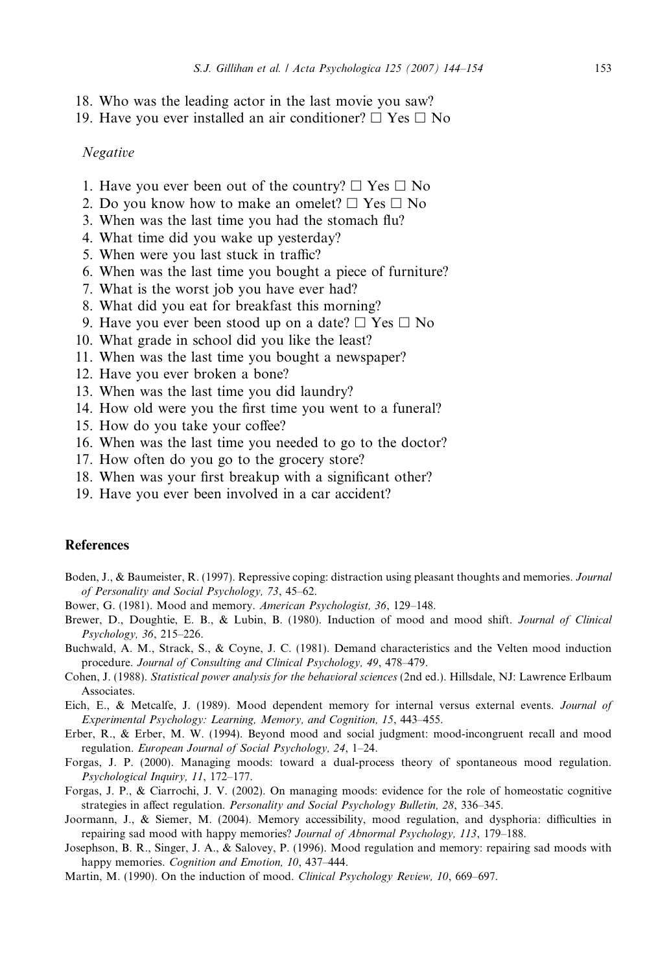- <span id="page-9-0"></span>18. Who was the leading actor in the last movie you saw?
- 19. Have you ever installed an air conditioner?  $\Box$  Yes  $\Box$  No

#### Negative

- 1. Have you ever been out of the country?  $\Box$  Yes  $\Box$  No
- 2. Do you know how to make an omelet?  $\Box$  Yes  $\Box$  No
- 3. When was the last time you had the stomach flu?
- 4. What time did you wake up yesterday?
- 5. When were you last stuck in traffic?
- 6. When was the last time you bought a piece of furniture?
- 7. What is the worst job you have ever had?
- 8. What did you eat for breakfast this morning?
- 9. Have you ever been stood up on a date?  $\Box$  Yes  $\Box$  No
- 10. What grade in school did you like the least?
- 11. When was the last time you bought a newspaper?
- 12. Have you ever broken a bone?
- 13. When was the last time you did laundry?
- 14. How old were you the first time you went to a funeral?
- 15. How do you take your coffee?
- 16. When was the last time you needed to go to the doctor?
- 17. How often do you go to the grocery store?
- 18. When was your first breakup with a significant other?
- 19. Have you ever been involved in a car accident?

#### **References**

- Boden, J., & Baumeister, R. (1997). Repressive coping: distraction using pleasant thoughts and memories. Journal of Personality and Social Psychology, 73, 45–62.
- Bower, G. (1981). Mood and memory. American Psychologist, 36, 129–148.
- Brewer, D., Doughtie, E. B., & Lubin, B. (1980). Induction of mood and mood shift. Journal of Clinical Psychology, 36, 215–226.
- Buchwald, A. M., Strack, S., & Coyne, J. C. (1981). Demand characteristics and the Velten mood induction procedure. Journal of Consulting and Clinical Psychology, 49, 478–479.
- Cohen, J. (1988). Statistical power analysis for the behavioral sciences (2nd ed.). Hillsdale, NJ: Lawrence Erlbaum **Associates**
- Eich, E., & Metcalfe, J. (1989). Mood dependent memory for internal versus external events. Journal of Experimental Psychology: Learning, Memory, and Cognition, 15, 443–455.
- Erber, R., & Erber, M. W. (1994). Beyond mood and social judgment: mood-incongruent recall and mood regulation. European Journal of Social Psychology, 24, 1–24.
- Forgas, J. P. (2000). Managing moods: toward a dual-process theory of spontaneous mood regulation. Psychological Inquiry, 11, 172–177.
- Forgas, J. P., & Ciarrochi, J. V. (2002). On managing moods: evidence for the role of homeostatic cognitive strategies in affect regulation. Personality and Social Psychology Bulletin, 28, 336–345.
- Joormann, J., & Siemer, M. (2004). Memory accessibility, mood regulation, and dysphoria: difficulties in repairing sad mood with happy memories? Journal of Abnormal Psychology, 113, 179–188.
- Josephson, B. R., Singer, J. A., & Salovey, P. (1996). Mood regulation and memory: repairing sad moods with happy memories. Cognition and Emotion, 10, 437-444.
- Martin, M. (1990). On the induction of mood. Clinical Psychology Review, 10, 669–697.